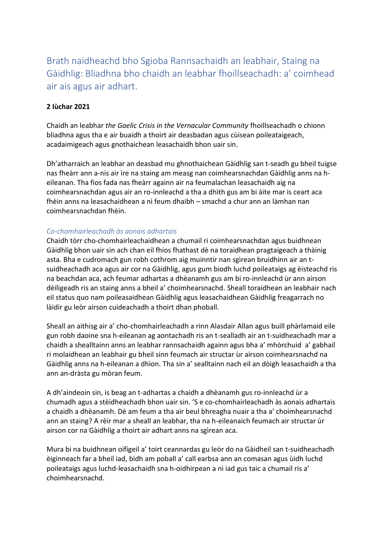Brath naidheachd bho Sgioba Rannsachaidh an leabhair, Staing na Gàidhlig: Bliadhna bho chaidh an leabhar fhoillseachadh: a' coimhead air ais agus air adhart.

## **2 Iùchar 2021**

Chaidh an leabhar *the Gaelic Crisis in the Vernacular Community* fhoillseachadh o chionn bliadhna agus tha e air buaidh a thoirt air deasbadan agus cùisean poileataigeach, acadaimigeach agus gnothaichean leasachaidh bhon uair sin.

Dh'atharraich an leabhar an deasbad mu ghnothaichean Gàidhlig san t-seadh gu bheil tuigse nas fheàrr ann a-nis air ìre na staing am measg nan coimhearsnachdan Gàidhlig anns na heileanan. Tha fios fada nas fheàrr againn air na feumalachan leasachaidh aig na coimhearsnachdan agus air an ro-innleachd a tha a dhìth gus am bi àite mar is ceart aca fhèin anns na leasachaidhean a nì feum dhaibh – smachd a chur ann an làmhan nan coimhearsnachdan fhèin.

## *Co-chomhairleachadh às aonais adhartais*

Chaidh tòrr cho-chomhairleachaidhean a chumail ri coimhearsnachdan agus buidhnean Gàidhlig bhon uair sin ach chan eil fhios fhathast dè na toraidhean pragtaigeach a thàinig asta. Bha e cudromach gun robh cothrom aig muinntir nan sgìrean bruidhinn air an tsuidheachadh aca agus air cor na Gàidhlig, agus gum biodh luchd poileataigs ag èisteachd ris na beachdan aca, ach feumar adhartas a dhèanamh gus am bi ro-innleachd ùr ann airson dèiligeadh ris an staing anns a bheil a' choimhearsnachd. Sheall toraidhean an leabhair nach eil status quo nam poileasaidhean Gàidhlig agus leasachaidhean Gàidhlig freagarrach no làidir gu leòr airson cuideachadh a thoirt dhan phoball.

Sheall an aithisg air a' cho-chomhairleachadh a rinn Alasdair Allan agus buill phàrlamaid eile gun robh daoine sna h-eileanan ag aontachadh ris an t-sealladh air an t-suidheachadh mar a chaidh a shealltainn anns an leabhar rannsachaidh againn agus bha a' mhòrchuid a' gabhail ri molaidhean an leabhair gu bheil sinn feumach air structar ùr airson coimhearsnachd na Gàidhlig anns na h-eileanan a dhìon. Tha sin a' sealltainn nach eil an dòigh leasachaidh a tha ann an-dràsta gu mòran feum.

A dh'aindeoin sin, is beag an t-adhartas a chaidh a dhèanamh gus ro-innleachd ùr a chumadh agus a stèidheachadh bhon uair sin. 'S e co-chomhairleachadh às aonais adhartais a chaidh a dhèanamh. Dè am feum a tha air beul bhreagha nuair a tha a' choimhearsnachd ann an staing? A rèir mar a sheall an leabhar, tha na h-eileanaich feumach air structar ùr airson cor na Gàidhlig a thoirt air adhart anns na sgìrean aca.

Mura bi na buidhnean oifigeil a' toirt ceannardas gu leòr do na Gàidheil san t-suidheachadh èiginneach far a bheil iad, bidh am poball a' call earbsa ann an comasan agus ùidh luchd poileataigs agus luchd-leasachaidh sna h-oidhirpean a nì iad gus taic a chumail ris a' choimhearsnachd.